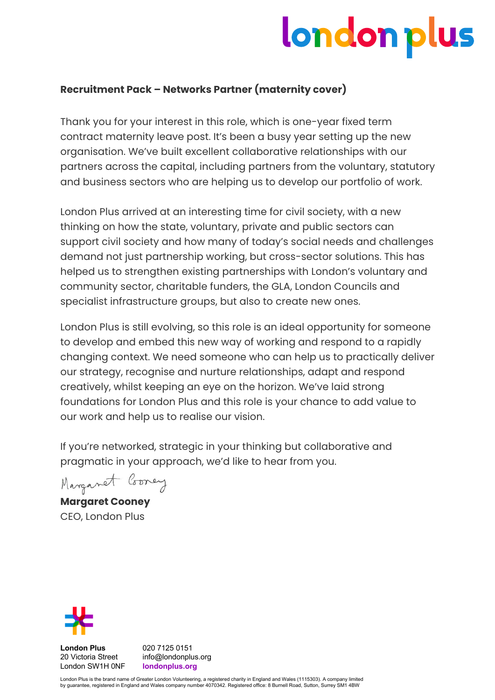# london plus

# **Recruitment Pack – Networks Partner (maternity cover)**

Thank you for your interest in this role, which is one-year fixed term contract maternity leave post. It's been a busy year setting up the new organisation. We've built excellent collaborative relationships with our partners across the capital, including partners from the voluntary, statutory and business sectors who are helping us to develop our portfolio of work.

London Plus arrived at an interesting time for civil society, with a new thinking on how the state, voluntary, private and public sectors can support civil society and how many of today's social needs and challenges demand not just partnership working, but cross-sector solutions. This has helped us to strengthen existing partnerships with London's voluntary and community sector, charitable funders, the GLA, London Councils and specialist infrastructure groups, but also to create new ones.

London Plus is still evolving, so this role is an ideal opportunity for someone to develop and embed this new way of working and respond to a rapidly changing context. We need someone who can help us to practically deliver our strategy, recognise and nurture relationships, adapt and respond creatively, whilst keeping an eye on the horizon. We've laid strong foundations for London Plus and this role is your chance to add value to our work and help us to realise our vision.

If you're networked, strategic in your thinking but collaborative and pragmatic in your approach, we'd like to hear from you.

Marganet Correy

**Margaret Cooney** CEO, London Plus



**London Plus** 020 7125 0151<br>20 Victoria Street info@londonplu London SW1H 0NF **londonplus.org**

info@londonplus.org

London Plus is the brand name of Greater London Volunteering, a registered charity in England and Wales (1115303). A company limited by guarantee, registered in England and Wales company number 4070342. Registered office: 8 Burnell Road, Sutton, Surrey SM1 4BW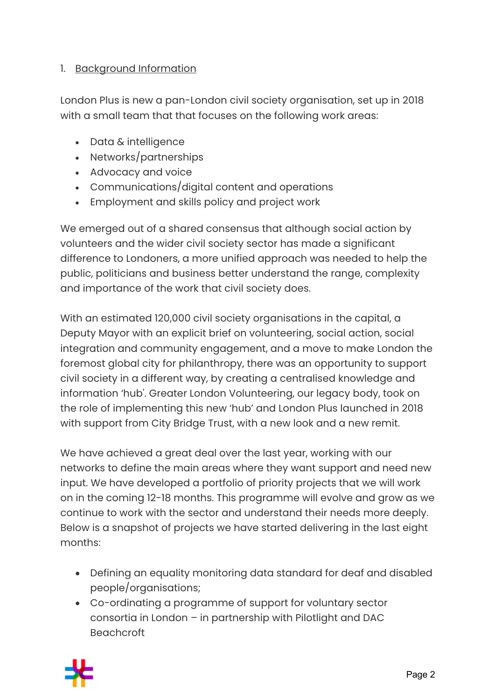# 1. Background Information

London Plus is new a pan-London civil society organisation, set up in 2018 with a small team that that focuses on the following work areas:

- Data & intelligence
- Networks/partnerships
- Advocacy and voice
- Communications/digital content and operations
- Employment and skills policy and project work

We emerged out of a shared consensus that although social action by volunteers and the wider civil society sector has made a significant difference to Londoners, a more unified approach was needed to help the public, politicians and business better understand the range, complexity and importance of the work that civil society does.

With an estimated 120,000 civil society organisations in the capital, a Deputy Mayor with an explicit brief on volunteering, social action, social integration and community engagement, and a move to make London the foremost global city for philanthropy, there was an opportunity to support civil society in a different way, by creating a centralised knowledge and information 'hub'. Greater London Volunteering, our legacy body, took on the role of implementing this new 'hub' and London Plus launched in 2018 with support from City Bridge Trust, with a new look and a new remit.

We have achieved a great deal over the last year, working with our networks to define the main areas where they want support and need new input. We have developed a portfolio of priority projects that we will work on in the coming 12-18 months. This programme will evolve and grow as we continue to work with the sector and understand their needs more deeply. Below is a snapshot of projects we have started delivering in the last eight months:

- Defining an equality monitoring data standard for deaf and disabled people/organisations;
- Co-ordinating a programme of support for voluntary sector consortia in London – in partnership with Pilotlight and DAC Beachcroft

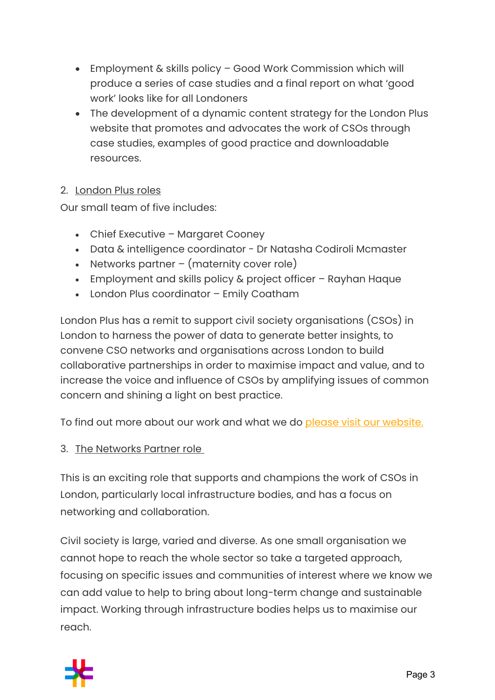- Employment & skills policy Good Work Commission which will produce a series of case studies and a final report on what 'good work' looks like for all Londoners
- The development of a dynamic content strategy for the London Plus website that promotes and advocates the work of CSOs through case studies, examples of good practice and downloadable resources.

#### 2. London Plus roles

Our small team of five includes:

- Chief Executive Margaret Cooney
- Data & intelligence coordinator Dr Natasha Codiroli Mcmaster
- Networks partner (maternity cover role)
- Employment and skills policy & project officer Rayhan Haque
- London Plus coordinator Emily Coatham

London Plus has a remit to support civil society organisations (CSOs) in London to harness the power of data to generate better insights, to convene CSO networks and organisations across London to build collaborative partnerships in order to maximise impact and value, and to increase the voice and influence of CSOs by amplifying issues of common concern and shining a light on best practice.

To find out more about our work and what we do please visit our website.

#### 3. The Networks Partner role

This is an exciting role that supports and champions the work of CSOs in London, particularly local infrastructure bodies, and has a focus on networking and collaboration.

Civil society is large, varied and diverse. As one small organisation we cannot hope to reach the whole sector so take a targeted approach, focusing on specific issues and communities of interest where we know we can add value to help to bring about long-term change and sustainable impact. Working through infrastructure bodies helps us to maximise our reach.

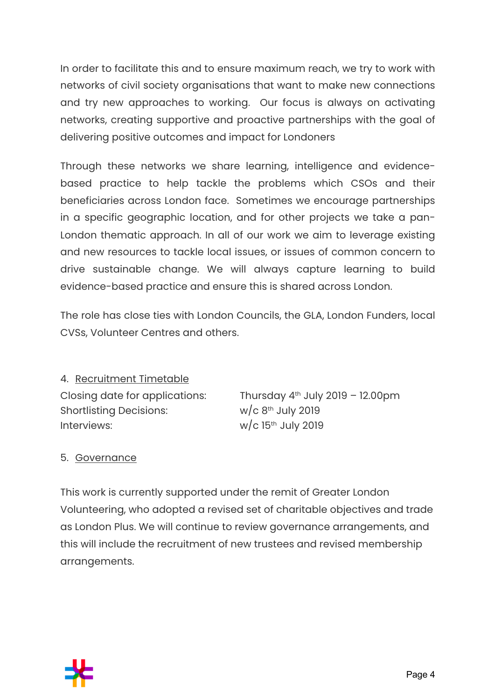In order to facilitate this and to ensure maximum reach, we try to work with networks of civil society organisations that want to make new connections and try new approaches to working. Our focus is always on activating networks, creating supportive and proactive partnerships with the goal of delivering positive outcomes and impact for Londoners

Through these networks we share learning, intelligence and evidencebased practice to help tackle the problems which CSOs and their beneficiaries across London face. Sometimes we encourage partnerships in a specific geographic location, and for other projects we take a pan-London thematic approach. In all of our work we aim to leverage existing and new resources to tackle local issues, or issues of common concern to drive sustainable change. We will always capture learning to build evidence-based practice and ensure this is shared across London.

The role has close ties with London Councils, the GLA, London Funders, local CVSs, Volunteer Centres and others.

4. Recruitment Timetable Shortlisting Decisions:  $w/c 8<sup>th</sup>$  July 2019 Interviews:  $w/c$  15<sup>th</sup> July 2019

Closing date for applications: Thursday  $4<sup>th</sup>$  July 2019 – 12.00pm

#### 5. Governance

This work is currently supported under the remit of Greater London Volunteering, who adopted a revised set of charitable objectives and trade as London Plus. We will continue to review governance arrangements, and this will include the recruitment of new trustees and revised membership arrangements.

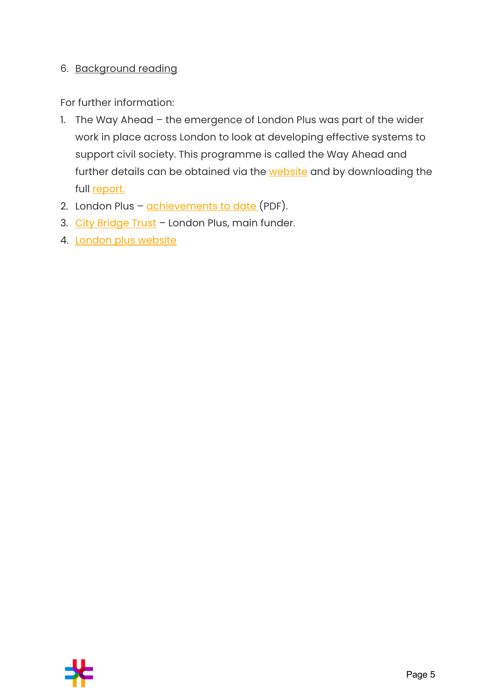#### 6. Background reading

For further information:

- 1. The Way Ahead the emergence of London Plus was part of the wider work in place across London to look at developing effective systems to support civil society. This programme is called the Way Ahead and further details can be obtained via the website and by downloading the full report.
- 2. London Plus achievements to date (PDF).
- 3. City Bridge Trust London Plus, main funder.
- 4. London plus website

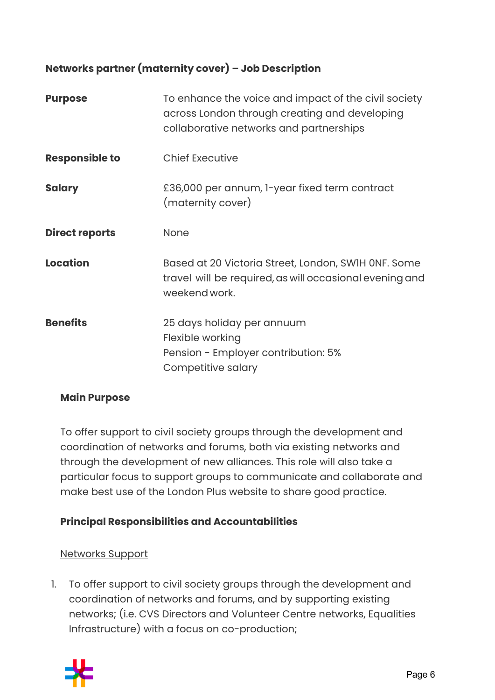# **Networks partner (maternity cover) – Job Description**

| <b>Purpose</b>        | To enhance the voice and impact of the civil society<br>across London through creating and developing<br>collaborative networks and partnerships |
|-----------------------|--------------------------------------------------------------------------------------------------------------------------------------------------|
| <b>Responsible to</b> | <b>Chief Executive</b>                                                                                                                           |
| <b>Salary</b>         | £36,000 per annum, 1-year fixed term contract<br>(maternity cover)                                                                               |
| <b>Direct reports</b> | <b>None</b>                                                                                                                                      |
| <b>Location</b>       | Based at 20 Victoria Street, London, SWIH ONF. Some<br>travel will be required, as will occasional evening and<br>weekend work.                  |
| <b>Benefits</b>       | 25 days holiday per annuum<br>Flexible working<br>Pension - Employer contribution: 5%<br>Competitive salary                                      |

#### **Main Purpose**

To offer support to civil society groups through the development and coordination of networks and forums, both via existing networks and through the development of new alliances. This role will also take a particular focus to support groups to communicate and collaborate and make best use of the London Plus website to share good practice.

#### **Principal Responsibilities and Accountabilities**

#### Networks Support

1. To offer support to civil society groups through the development and coordination of networks and forums, and by supporting existing networks; (i.e. CVS Directors and Volunteer Centre networks, Equalities Infrastructure) with a focus on co-production;

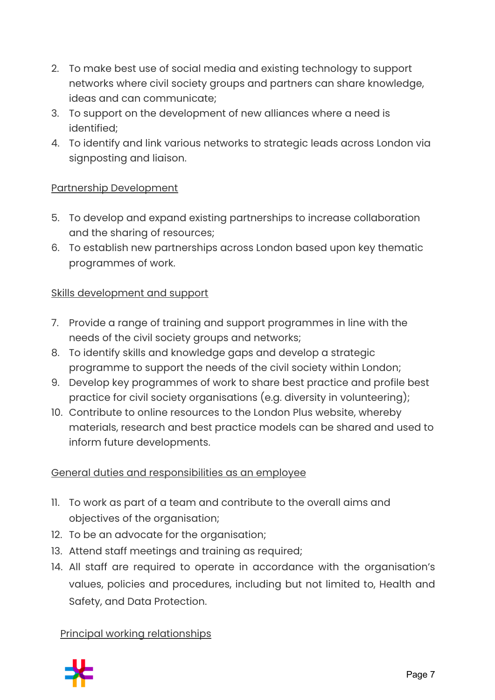- 2. To make best use of social media and existing technology to support networks where civil society groups and partners can share knowledge, ideas and can communicate;
- 3. To support on the development of new alliances where a need is identified;
- 4. To identify and link various networks to strategic leads across London via signposting and liaison.

# Partnership Development

- 5. To develop and expand existing partnerships to increase collaboration and the sharing of resources;
- 6. To establish new partnerships across London based upon key thematic programmes of work.

#### Skills development and support

- 7. Provide a range of training and support programmes in line with the needs of the civil society groups and networks;
- 8. To identify skills and knowledge gaps and develop a strategic programme to support the needs of the civil society within London;
- 9. Develop key programmes of work to share best practice and profile best practice for civil society organisations (e.g. diversity in volunteering);
- 10. Contribute to online resources to the London Plus website, whereby materials, research and best practice models can be shared and used to inform future developments.

#### General duties and responsibilities as an employee

- 11. To work as part of a team and contribute to the overall aims and objectives of the organisation;
- 12. To be an advocate for the organisation;
- 13. Attend staff meetings and training as required;
- 14. All staff are required to operate in accordance with the organisation's values, policies and procedures, including but not limited to, Health and Safety, and Data Protection.

#### Principal working relationships

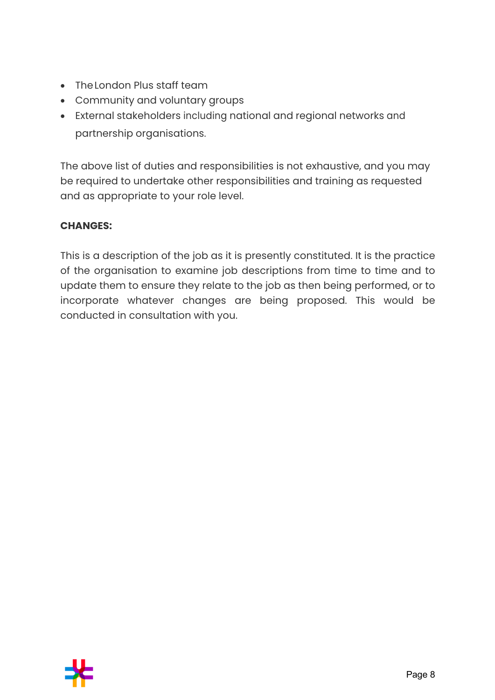- TheLondon Plus staff team
- Community and voluntary groups
- External stakeholders including national and regional networks and partnership organisations.

The above list of duties and responsibilities is not exhaustive, and you may be required to undertake other responsibilities and training as requested and as appropriate to your role level.

# **CHANGES:**

This is a description of the job as it is presently constituted. It is the practice of the organisation to examine job descriptions from time to time and to update them to ensure they relate to the job as then being performed, or to incorporate whatever changes are being proposed. This would be conducted in consultation with you.

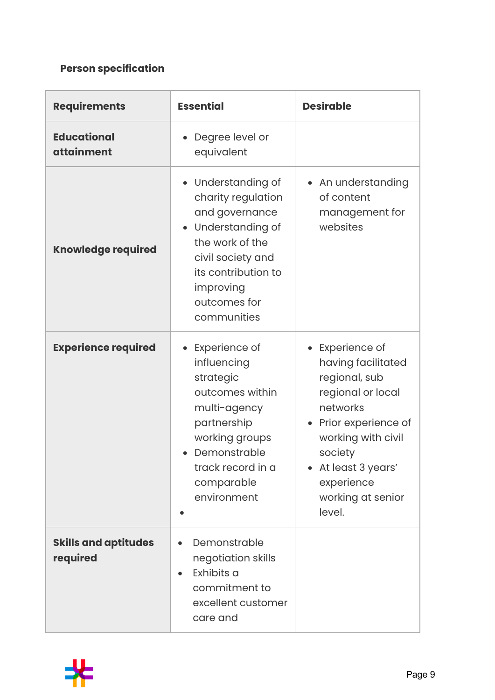# **Person specification**

| <b>Requirements</b>                     | <b>Essential</b>                                                                                                                                                                            | <b>Desirable</b>                                                                                                                                                                                                  |
|-----------------------------------------|---------------------------------------------------------------------------------------------------------------------------------------------------------------------------------------------|-------------------------------------------------------------------------------------------------------------------------------------------------------------------------------------------------------------------|
| <b>Educational</b><br><b>attainment</b> | Degree level or<br>equivalent                                                                                                                                                               |                                                                                                                                                                                                                   |
| <b>Knowledge required</b>               | • Understanding of<br>charity regulation<br>and governance<br>• Understanding of<br>the work of the<br>civil society and<br>its contribution to<br>improving<br>outcomes for<br>communities | • An understanding<br>of content<br>management for<br>websites                                                                                                                                                    |
| <b>Experience required</b>              | Experience of<br>influencing<br>strategic<br>outcomes within<br>multi-agency<br>partnership<br>working groups<br>Demonstrable<br>track record in a<br>comparable<br>environment             | Experience of<br>having facilitated<br>regional, sub<br>regional or local<br>networks<br>• Prior experience of<br>working with civil<br>society<br>At least 3 years'<br>experience<br>working at senior<br>level. |
| <b>Skills and aptitudes</b><br>required | Demonstrable<br>negotiation skills<br>Exhibits a<br>$\bullet$<br>commitment to<br>excellent customer<br>care and                                                                            |                                                                                                                                                                                                                   |

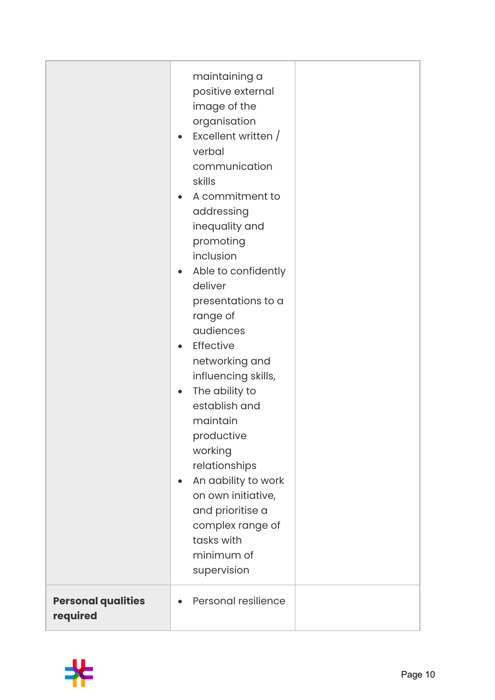|                                       | maintaining a<br>positive external<br>image of the<br>organisation<br>Excellent written /<br>$\bullet$<br>verbal<br>communication<br>skills<br>A commitment to<br>$\bullet$<br>addressing<br>inequality and<br>promoting<br>inclusion<br>Able to confidently<br>$\bullet$<br>deliver<br>presentations to a<br>range of<br>audiences<br>Effective<br>$\bullet$<br>networking and<br>influencing skills,<br>The ability to<br>$\bullet$<br>establish and<br>maintain<br>productive<br>working<br>relationships<br>An aability to work<br>$\bullet$<br>on own initiative,<br>and prioritise a<br>complex range of<br>tasks with<br>minimum of<br>supervision |  |
|---------------------------------------|-----------------------------------------------------------------------------------------------------------------------------------------------------------------------------------------------------------------------------------------------------------------------------------------------------------------------------------------------------------------------------------------------------------------------------------------------------------------------------------------------------------------------------------------------------------------------------------------------------------------------------------------------------------|--|
| <b>Personal qualities</b><br>required | Personal resilience                                                                                                                                                                                                                                                                                                                                                                                                                                                                                                                                                                                                                                       |  |